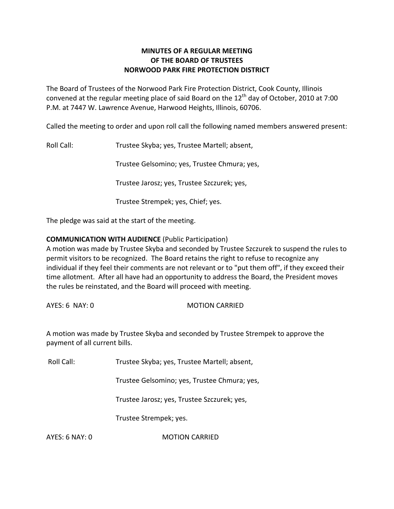# **MINUTES OF A REGULAR MEETING OF THE BOARD OF TRUSTEES NORWOOD PARK FIRE PROTECTION DISTRICT**

The Board of Trustees of the Norwood Park Fire Protection District, Cook County, Illinois convened at the regular meeting place of said Board on the  $12<sup>th</sup>$  day of October, 2010 at 7:00 P.M. at 7447 W. Lawrence Avenue, Harwood Heights, Illinois, 60706.

Called the meeting to order and upon roll call the following named members answered present:

Roll Call: Trustee Skyba; yes, Trustee Martell; absent,

Trustee Gelsomino; yes, Trustee Chmura; yes,

Trustee Jarosz; yes, Trustee Szczurek; yes,

Trustee Strempek; yes, Chief; yes.

The pledge was said at the start of the meeting.

## **COMMUNICATION WITH AUDIENCE** (Public Participation)

A motion was made by Trustee Skyba and seconded by Trustee Szczurek to suspend the rules to permit visitors to be recognized. The Board retains the right to refuse to recognize any individual if they feel their comments are not relevant or to "put them off", if they exceed their time allotment. After all have had an opportunity to address the Board, the President moves the rules be reinstated, and the Board will proceed with meeting.

#### AYES: 6 NAY: 0 MOTION CARRIED

A motion was made by Trustee Skyba and seconded by Trustee Strempek to approve the payment of all current bills.

Roll Call: Trustee Skyba; yes, Trustee Martell; absent,

Trustee Gelsomino; yes, Trustee Chmura; yes,

Trustee Jarosz; yes, Trustee Szczurek; yes,

Trustee Strempek; yes.

AYES: 6 NAY: 0 MOTION CARRIED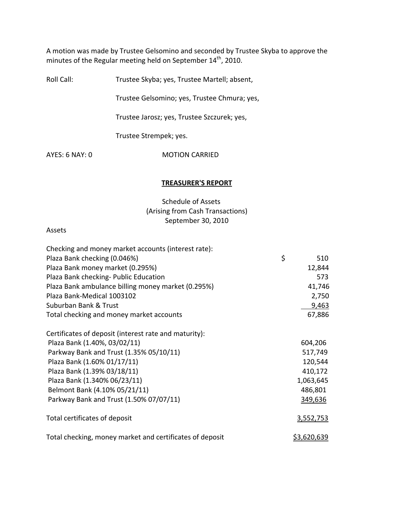A motion was made by Trustee Gelsomino and seconded by Trustee Skyba to approve the minutes of the Regular meeting held on September  $14<sup>th</sup>$ , 2010.

Roll Call: Trustee Skyba; yes, Trustee Martell; absent,

Trustee Gelsomino; yes, Trustee Chmura; yes,

Trustee Jarosz; yes, Trustee Szczurek; yes,

Trustee Strempek; yes.

AYES: 6 NAY: 0 MOTION CARRIED

#### **TREASURER'S REPORT**

Schedule of Assets (Arising from Cash Transactions) September 30, 2010

#### Assets

| Checking and money market accounts (interest rate):      |                    |  |
|----------------------------------------------------------|--------------------|--|
| Plaza Bank checking (0.046%)                             | \$<br>510          |  |
| Plaza Bank money market (0.295%)                         | 12,844             |  |
| Plaza Bank checking- Public Education                    | 573                |  |
| Plaza Bank ambulance billing money market (0.295%)       | 41,746             |  |
| Plaza Bank-Medical 1003102                               | 2,750              |  |
| Suburban Bank & Trust                                    | 9,463              |  |
| Total checking and money market accounts                 | 67,886             |  |
| Certificates of deposit (interest rate and maturity):    |                    |  |
| Plaza Bank (1.40%, 03/02/11)                             | 604,206            |  |
| Parkway Bank and Trust (1.35% 05/10/11)                  | 517,749            |  |
| Plaza Bank (1.60% 01/17/11)                              | 120,544            |  |
| Plaza Bank (1.39% 03/18/11)                              | 410,172            |  |
| Plaza Bank (1.340% 06/23/11)                             | 1,063,645          |  |
| Belmont Bank (4.10% 05/21/11)                            | 486,801            |  |
| Parkway Bank and Trust (1.50% 07/07/11)                  | 349,636            |  |
| Total certificates of deposit                            | 3,552,753          |  |
| Total checking, money market and certificates of deposit | <u>\$3,620,639</u> |  |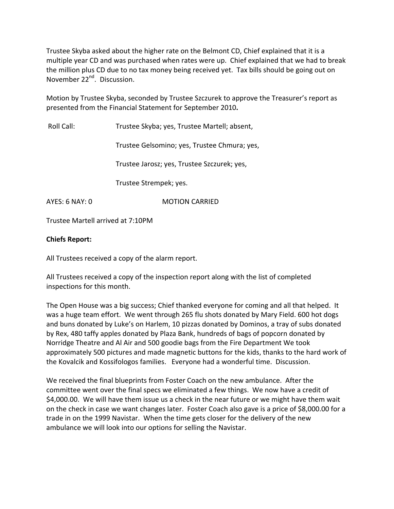Trustee Skyba asked about the higher rate on the Belmont CD, Chief explained that it is a multiple year CD and was purchased when rates were up. Chief explained that we had to break the million plus CD due to no tax money being received yet. Tax bills should be going out on November 22<sup>nd</sup>. Discussion.

Motion by Trustee Skyba, seconded by Trustee Szczurek to approve the Treasurer's report as presented from the Financial Statement for September 2010**.**

Roll Call: Trustee Skyba; yes, Trustee Martell; absent,

Trustee Gelsomino; yes, Trustee Chmura; yes,

Trustee Jarosz; yes, Trustee Szczurek; yes,

Trustee Strempek; yes.

AYES: 6 NAY: 0 MOTION CARRIED

Trustee Martell arrived at 7:10PM

## **Chiefs Report:**

All Trustees received a copy of the alarm report.

All Trustees received a copy of the inspection report along with the list of completed inspections for this month.

The Open House was a big success; Chief thanked everyone for coming and all that helped. It was a huge team effort. We went through 265 flu shots donated by Mary Field. 600 hot dogs and buns donated by Luke's on Harlem, 10 pizzas donated by Dominos, a tray of subs donated by Rex, 480 taffy apples donated by Plaza Bank, hundreds of bags of popcorn donated by Norridge Theatre and Al Air and 500 goodie bags from the Fire Department We took approximately 500 pictures and made magnetic buttons for the kids, thanks to the hard work of the Kovalcik and Kossifologos families. Everyone had a wonderful time. Discussion.

We received the final blueprints from Foster Coach on the new ambulance. After the committee went over the final specs we eliminated a few things. We now have a credit of \$4,000.00. We will have them issue us a check in the near future or we might have them wait on the check in case we want changes later. Foster Coach also gave is a price of \$8,000.00 for a trade in on the 1999 Navistar. When the time gets closer for the delivery of the new ambulance we will look into our options for selling the Navistar.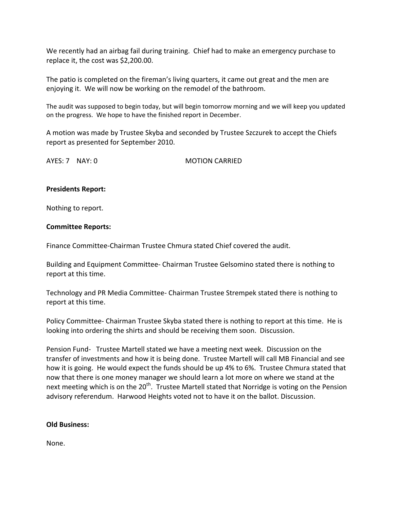We recently had an airbag fail during training. Chief had to make an emergency purchase to replace it, the cost was \$2,200.00.

The patio is completed on the fireman's living quarters, it came out great and the men are enjoying it. We will now be working on the remodel of the bathroom.

The audit was supposed to begin today, but will begin tomorrow morning and we will keep you updated on the progress. We hope to have the finished report in December.

A motion was made by Trustee Skyba and seconded by Trustee Szczurek to accept the Chiefs report as presented for September 2010.

AYES: 7 NAY: 0 **MOTION CARRIED** 

## **Presidents Report:**

Nothing to report.

#### **Committee Reports:**

Finance Committee‐Chairman Trustee Chmura stated Chief covered the audit.

Building and Equipment Committee‐ Chairman Trustee Gelsomino stated there is nothing to report at this time.

Technology and PR Media Committee‐ Chairman Trustee Strempek stated there is nothing to report at this time.

Policy Committee‐ Chairman Trustee Skyba stated there is nothing to report at this time. He is looking into ordering the shirts and should be receiving them soon. Discussion.

Pension Fund- Trustee Martell stated we have a meeting next week. Discussion on the transfer of investments and how it is being done. Trustee Martell will call MB Financial and see how it is going. He would expect the funds should be up 4% to 6%. Trustee Chmura stated that now that there is one money manager we should learn a lot more on where we stand at the next meeting which is on the 20<sup>th</sup>. Trustee Martell stated that Norridge is voting on the Pension advisory referendum. Harwood Heights voted not to have it on the ballot. Discussion.

## **Old Business:**

None.